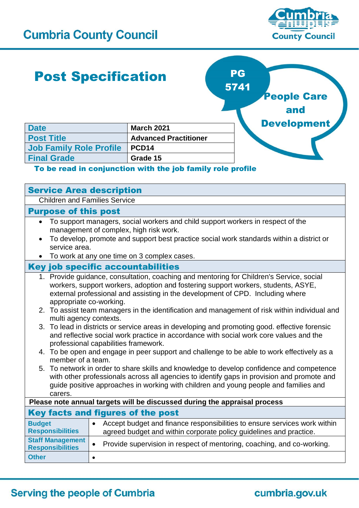

# Post Specification

**Date March 2021** 

**Job Family Role Profile PCD14 Final Grade 615** 



### To be read in conjunction with the job family role profile

| <b>Service Area description</b>                                                                                                                                                                                                                                                            |  |  |
|--------------------------------------------------------------------------------------------------------------------------------------------------------------------------------------------------------------------------------------------------------------------------------------------|--|--|
| <b>Children and Families Service</b>                                                                                                                                                                                                                                                       |  |  |
| <b>Purpose of this post</b>                                                                                                                                                                                                                                                                |  |  |
| To support managers, social workers and child support workers in respect of the<br>$\bullet$<br>management of complex, high risk work.<br>To develop, promote and support best practice social work standards within a district or<br>service area.                                        |  |  |
| To work at any one time on 3 complex cases.                                                                                                                                                                                                                                                |  |  |
| <b>Key job specific accountabilities</b>                                                                                                                                                                                                                                                   |  |  |
| 1. Provide guidance, consultation, coaching and mentoring for Children's Service, social<br>workers, support workers, adoption and fostering support workers, students, ASYE,<br>external professional and assisting in the development of CPD. Including where<br>appropriate co-working. |  |  |
| 2. To assist team managers in the identification and management of risk within individual and<br>multi agency contexts.                                                                                                                                                                    |  |  |
| 3. To lead in districts or service areas in developing and promoting good. effective forensic<br>and reflective social work practice in accordance with social work core values and the<br>professional capabilities framework.                                                            |  |  |
| 4. To be open and engage in peer support and challenge to be able to work effectively as a<br>member of a team.                                                                                                                                                                            |  |  |
| 5. To network in order to share skills and knowledge to develop confidence and competence<br>with other professionals across all agencies to identify gaps in provision and promote and<br>guide positive approaches in working with children and young people and families and<br>carers. |  |  |
| Please note annual targets will be discussed during the appraisal process                                                                                                                                                                                                                  |  |  |
| Key facts and figures of the post                                                                                                                                                                                                                                                          |  |  |
| Accept budget and finance responsibilities to ensure services work within<br><b>Budget</b><br>$\bullet$<br><b>Responsibilities</b><br>agreed budget and within corporate policy guidelines and practice.                                                                                   |  |  |
| <b>Staff Management</b><br>Provide supervision in respect of mentoring, coaching, and co-working.<br>$\bullet$<br><b>Responsibilities</b>                                                                                                                                                  |  |  |
| <b>Other</b><br>$\bullet$                                                                                                                                                                                                                                                                  |  |  |

## **Serving the people of Cumbria**

# cumbria.gov.uk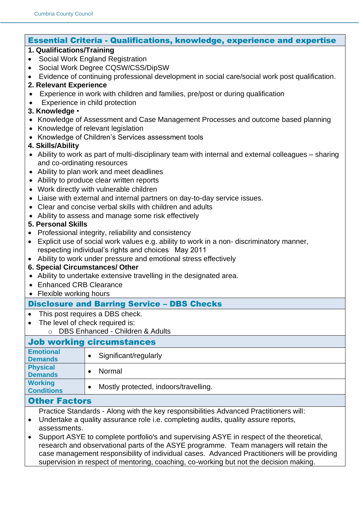#### Essential Criteria - Qualifications, knowledge, experience and expertise

#### **1. Qualifications/Training**

- Social Work England Registration
- Social Work Degree CQSW/CSS/DipSW
- Evidence of continuing professional development in social care/social work post qualification.

#### **2. Relevant Experience**

- Experience in work with children and families, pre/post or during qualification
- Experience in child protection

#### **3. Knowledge** •

- Knowledge of Assessment and Case Management Processes and outcome based planning
- Knowledge of relevant legislation
- Knowledge of Children's Services assessment tools

#### **4. Skills/Ability**

- Ability to work as part of multi-disciplinary team with internal and external colleagues sharing and co-ordinating resources
- Ability to plan work and meet deadlines
- Ability to produce clear written reports
- Work directly with vulnerable children
- Liaise with external and internal partners on day-to-day service issues.
- Clear and concise verbal skills with children and adults
- Ability to assess and manage some risk effectively

#### **5. Personal Skills**

- Professional integrity, reliability and consistency
- Explicit use of social work values e.g. ability to work in a non- discriminatory manner, respecting individual's rights and choices May 2011
- Ability to work under pressure and emotional stress effectively

#### **6. Special Circumstances/ Other**

- Ability to undertake extensive travelling in the designated area.
- **Enhanced CRB Clearance**
- Flexible working hours

#### Disclosure and Barring Service – DBS Checks

- This post requires a DBS check.
- The level of check required is:
	- o DBS Enhanced Children & Adults

### Job working circumstances

| <b>Emotional</b><br><b>Demands</b>  | Significant/regularly                 |
|-------------------------------------|---------------------------------------|
| <b>Physical</b><br><b>Demands</b>   | Normal                                |
| <b>Working</b><br><b>Conditions</b> | Mostly protected, indoors/travelling. |
| ____                                |                                       |

#### Other Factors

- Practice Standards Along with the key responsibilities Advanced Practitioners will:
- Undertake a quality assurance role i.e. completing audits, quality assure reports, assessments.
- Support ASYE to complete portfolio's and supervising ASYE in respect of the theoretical, research and observational parts of the ASYE programme. Team managers will retain the case management responsibility of individual cases. Advanced Practitioners will be providing supervision in respect of mentoring, coaching, co-working but not the decision making.